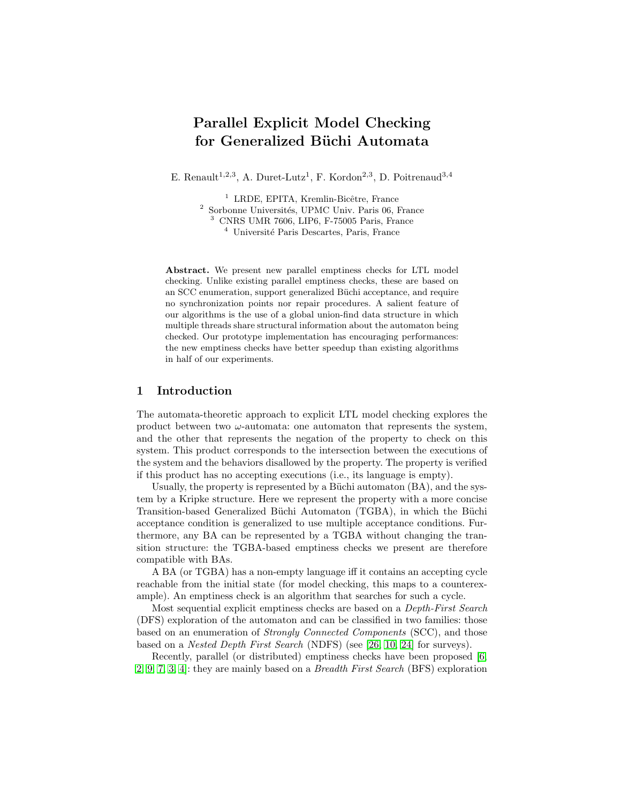# <span id="page-0-0"></span>Parallel Explicit Model Checking for Generalized Büchi Automata

E. Renault<sup>1,2,3</sup>, A. Duret-Lutz<sup>1</sup>, F. Kordon<sup>2,3</sup>, D. Poitrenaud<sup>3,4</sup>

 $<sup>1</sup>$  LRDE, EPITA, Kremlin-Bicêtre, France</sup>  $2$  Sorbonne Universités, UPMC Univ. Paris 06, France <sup>3</sup> CNRS UMR 7606, LIP6, F-75005 Paris, France

<sup>4</sup> Université Paris Descartes, Paris, France

Abstract. We present new parallel emptiness checks for LTL model checking. Unlike existing parallel emptiness checks, these are based on an SCC enumeration, support generalized Büchi acceptance, and require no synchronization points nor repair procedures. A salient feature of our algorithms is the use of a global union-find data structure in which multiple threads share structural information about the automaton being checked. Our prototype implementation has encouraging performances: the new emptiness checks have better speedup than existing algorithms in half of our experiments.

# 1 Introduction

The automata-theoretic approach to explicit LTL model checking explores the product between two  $\omega$ -automata: one automaton that represents the system, and the other that represents the negation of the property to check on this system. This product corresponds to the intersection between the executions of the system and the behaviors disallowed by the property. The property is verified if this product has no accepting executions (i.e., its language is empty).

Usually, the property is represented by a Büchi automaton  $(BA)$ , and the system by a Kripke structure. Here we represent the property with a more concise Transition-based Generalized Büchi Automaton (TGBA), in which the Büchi acceptance condition is generalized to use multiple acceptance conditions. Furthermore, any BA can be represented by a TGBA without changing the transition structure: the TGBA-based emptiness checks we present are therefore compatible with BAs.

A BA (or TGBA) has a non-empty language iff it contains an accepting cycle reachable from the initial state (for model checking, this maps to a counterexample). An emptiness check is an algorithm that searches for such a cycle.

Most sequential explicit emptiness checks are based on a Depth-First Search (DFS) exploration of the automaton and can be classified in two families: those based on an enumeration of Strongly Connected Components (SCC), and those based on a Nested Depth First Search (NDFS) (see [\[26,](#page-14-0) [10,](#page-14-1) [24\]](#page-14-2) for surveys).

Recently, parallel (or distributed) emptiness checks have been proposed [\[6,](#page-13-0) [2,](#page-13-1) [9,](#page-14-3) [7,](#page-14-4) [3,](#page-13-2) [4\]](#page-13-3): they are mainly based on a Breadth First Search (BFS) exploration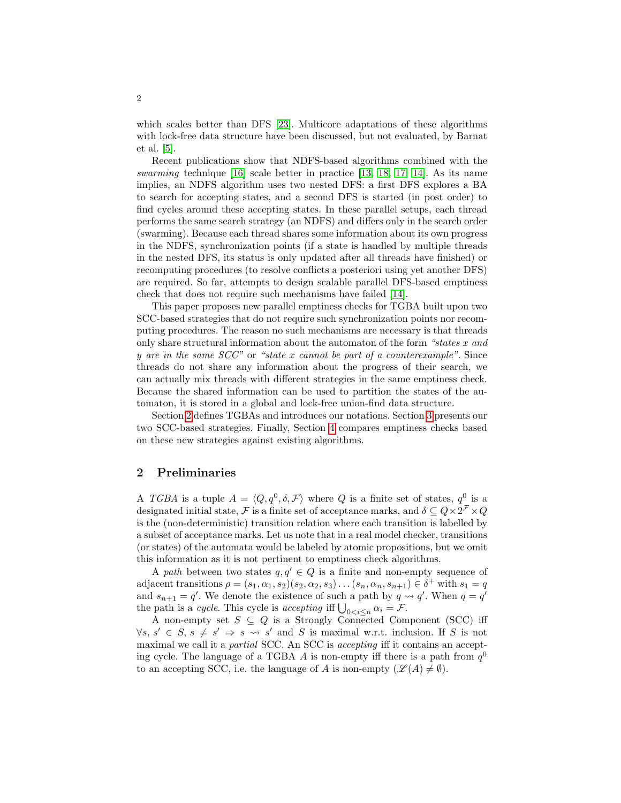which scales better than DFS [\[23\]](#page-14-5). Multicore adaptations of these algorithms with lock-free data structure have been discussed, but not evaluated, by Barnat et al. [\[5\]](#page-13-4).

Recent publications show that NDFS-based algorithms combined with the swarming technique [\[16\]](#page-14-6) scale better in practice [\[13,](#page-14-7) [18,](#page-14-8) [17,](#page-14-9) [14\]](#page-14-10). As its name implies, an NDFS algorithm uses two nested DFS: a first DFS explores a BA to search for accepting states, and a second DFS is started (in post order) to find cycles around these accepting states. In these parallel setups, each thread performs the same search strategy (an NDFS) and differs only in the search order (swarming). Because each thread shares some information about its own progress in the NDFS, synchronization points (if a state is handled by multiple threads in the nested DFS, its status is only updated after all threads have finished) or recomputing procedures (to resolve conflicts a posteriori using yet another DFS) are required. So far, attempts to design scalable parallel DFS-based emptiness check that does not require such mechanisms have failed [\[14\]](#page-14-10).

This paper proposes new parallel emptiness checks for TGBA built upon two SCC-based strategies that do not require such synchronization points nor recomputing procedures. The reason no such mechanisms are necessary is that threads only share structural information about the automaton of the form "states x and y are in the same  $SCC$ " or "state x cannot be part of a counterexample". Since threads do not share any information about the progress of their search, we can actually mix threads with different strategies in the same emptiness check. Because the shared information can be used to partition the states of the automaton, it is stored in a global and lock-free union-find data structure.

Section [2](#page-1-0) defines TGBAs and introduces our notations. Section [3](#page-2-0) presents our two SCC-based strategies. Finally, Section [4](#page-9-0) compares emptiness checks based on these new strategies against existing algorithms.

# <span id="page-1-0"></span>2 Preliminaries

A TGBA is a tuple  $A = \langle Q, q^0, \delta, \mathcal{F} \rangle$  where Q is a finite set of states,  $q^0$  is a designated initial state,  $\mathcal F$  is a finite set of acceptance marks, and  $\delta \subseteq Q \times 2^{\mathcal F} \times Q$ is the (non-deterministic) transition relation where each transition is labelled by a subset of acceptance marks. Let us note that in a real model checker, transitions (or states) of the automata would be labeled by atomic propositions, but we omit this information as it is not pertinent to emptiness check algorithms.

A path between two states  $q, q' \in Q$  is a finite and non-empty sequence of adjacent transitions  $\rho = (s_1, \alpha_1, s_2)(s_2, \alpha_2, s_3) \dots (s_n, \alpha_n, s_{n+1}) \in \delta^+$  with  $s_1 = q$ and  $s_{n+1} = q'$ . We denote the existence of such a path by  $q \rightsquigarrow q'$ . When  $q = q'$ the path is a cycle. This cycle is accepting iff  $\bigcup_{0 \le i \le n} \alpha_i = \mathcal{F}$ .

A non-empty set  $S \subseteq Q$  is a Strongly Connected Component (SCC) iff  $\forall s, s' \in S, s \neq s' \Rightarrow s \leadsto s'$  and S is maximal w.r.t. inclusion. If S is not maximal we call it a *partial* SCC. An SCC is *accepting* iff it contains an accepting cycle. The language of a TGBA A is non-empty iff there is a path from  $q^0$ to an accepting SCC, i.e. the language of A is non-empty  $(\mathscr{L}(A) \neq \emptyset)$ .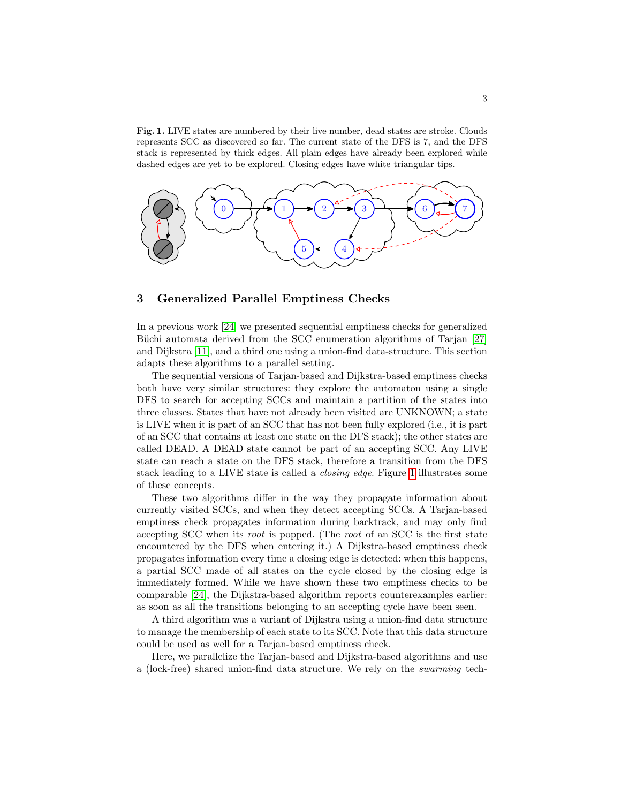<span id="page-2-1"></span>Fig. 1. LIVE states are numbered by their live number, dead states are stroke. Clouds represents SCC as discovered so far. The current state of the DFS is 7, and the DFS stack is represented by thick edges. All plain edges have already been explored while dashed edges are yet to be explored. Closing edges have white triangular tips.



# <span id="page-2-0"></span>3 Generalized Parallel Emptiness Checks

In a previous work [\[24\]](#page-14-2) we presented sequential emptiness checks for generalized Büchi automata derived from the SCC enumeration algorithms of Tarjan [\[27\]](#page-14-11) and Dijkstra [\[11\]](#page-14-12), and a third one using a union-find data-structure. This section adapts these algorithms to a parallel setting.

The sequential versions of Tarjan-based and Dijkstra-based emptiness checks both have very similar structures: they explore the automaton using a single DFS to search for accepting SCCs and maintain a partition of the states into three classes. States that have not already been visited are UNKNOWN; a state is LIVE when it is part of an SCC that has not been fully explored (i.e., it is part of an SCC that contains at least one state on the DFS stack); the other states are called DEAD. A DEAD state cannot be part of an accepting SCC. Any LIVE state can reach a state on the DFS stack, therefore a transition from the DFS stack leading to a LIVE state is called a closing edge. Figure [1](#page-2-1) illustrates some of these concepts.

These two algorithms differ in the way they propagate information about currently visited SCCs, and when they detect accepting SCCs. A Tarjan-based emptiness check propagates information during backtrack, and may only find accepting SCC when its root is popped. (The root of an SCC is the first state encountered by the DFS when entering it.) A Dijkstra-based emptiness check propagates information every time a closing edge is detected: when this happens, a partial SCC made of all states on the cycle closed by the closing edge is immediately formed. While we have shown these two emptiness checks to be comparable [\[24\]](#page-14-2), the Dijkstra-based algorithm reports counterexamples earlier: as soon as all the transitions belonging to an accepting cycle have been seen.

A third algorithm was a variant of Dijkstra using a union-find data structure to manage the membership of each state to its SCC. Note that this data structure could be used as well for a Tarjan-based emptiness check.

Here, we parallelize the Tarjan-based and Dijkstra-based algorithms and use a (lock-free) shared union-find data structure. We rely on the swarming tech-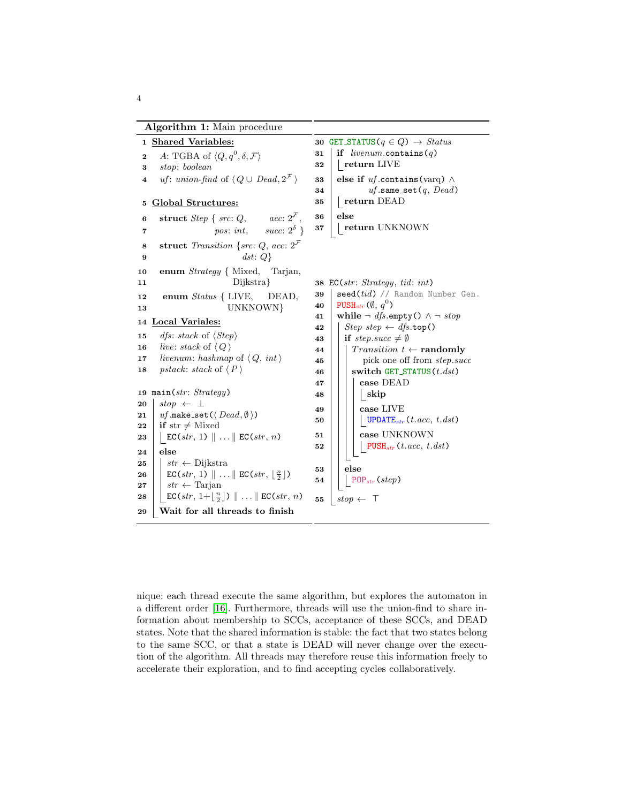Algorithm 1: Main procedure

```
1 Shared Variables:
  2 A: TGBA of \langle Q, q^0, \delta, \mathcal{F} \rangle3 stop: boolean
  4 uf: union-find of \langle Q \cup Dead, 2^{\mathcal{F}} \rangle5 Global Structures:
 6 struct Step { src: Q, acc: 2^{\mathcal{F}}7 pos: int, succ: 2^{\delta}}
 8 struct Transition {src: Q, acc: 2^F9 dst: Q10 enum Strategy { Mixed, Tarjan,
11 Dijkstra}
12 enum Status { LIVE, DEAD,
13 UNKNOWN}
14 Local Variales:
15 dfs: stack of \langle Step \rangle16 live: stack of \langle Q \rangle17 livenum: hashmap of \langle Q, int \rangle18 pstack: stack of \langle P \rangle19 main(str: Strategy)
20 stop \leftarrow \perp21 uf.make_set(\langle Dead, \emptyset \rangle)
22 if str \neq Mixed
23 | EC(str, 1) \| \ldots \| EC(str, n)
24 else
25 \mid str \leftarrow \text{Dijkstra}26 | EC(str, 1) \|\ldots\| EC(str, \lfloor \frac{n}{2} \rfloor)
27 str \leftarrow Tarjan
28 \left| \left[ \text{EC}(str, 1 + \left\lfloor \frac{n}{2} \right\rfloor) \right] \dots \right| \text{EC}(str, n)29 Wait for all threads to finish
                                                         30 GET_STATUS(q \in Q) \rightarrow Status
                                                         31 | if livenum.\text{contains}(q)32 | return LIVE
                                                         33 else if uf contains(varq) \wedge34 \vert \qquad \qquad \qquad \qquad \qquad \qquad \qquad \qquad \qquad \qquad \qquad \qquad \qquad \qquad \qquad \qquad \qquad \qquad \qquad \qquad \qquad \qquad \qquad \qquad \qquad \qquad \qquad \qquad \qquad \qquad \qquad \qquad \qquad \qquad \qquad \qquad \qquad \qquad \qquad \qquad \qquad \qquad \qquad \qquad \qquad \qquad \qquad \q35 | return DEAD
                                                         36 else
                                                         37 | return UNKNOWN
                                                         38 EC(str: Strategy, tid: int)
                                                         39 | seed(tid) // Random Number Gen.
                                                          40 PUSH<sub>str</sub> (\emptyset, q^0)41 while \neg dfs.empty() \wedge \neg stop
                                                         42 | Step step \leftarrow dfs.top()
                                                         43 | if step.succ \neq \emptyset44 \vert \vert Transition t \leftarrow randomly
                                                         45 | | | pick one off from step.succ
                                                         46 \vert switch GET_STATUS(t.dst)
                                                         47 | | | | case DEAD
                                                         48 | || \tVert skip
                                                         49 | | | | case LIVE
                                                         50 | | | | UPDAT\mathbf{E}_{str}(t.acc, t.dst)\mathbf{51} | | | case UNKNOWN
                                                         52 | | | | PUSH<sub>str</sub>(t.acc, t.dst)
                                                         53 | else
                                                         54 | | POP<sub>str</sub> (step)
                                                         55 | stop \leftarrow \top
```
<span id="page-3-0"></span>nique: each thread execute the same algorithm, but explores the automaton in a different order [\[16\]](#page-14-6). Furthermore, threads will use the union-find to share information about membership to SCCs, acceptance of these SCCs, and DEAD states. Note that the shared information is stable: the fact that two states belong to the same SCC, or that a state is DEAD will never change over the execution of the algorithm. All threads may therefore reuse this information freely to accelerate their exploration, and to find accepting cycles collaboratively.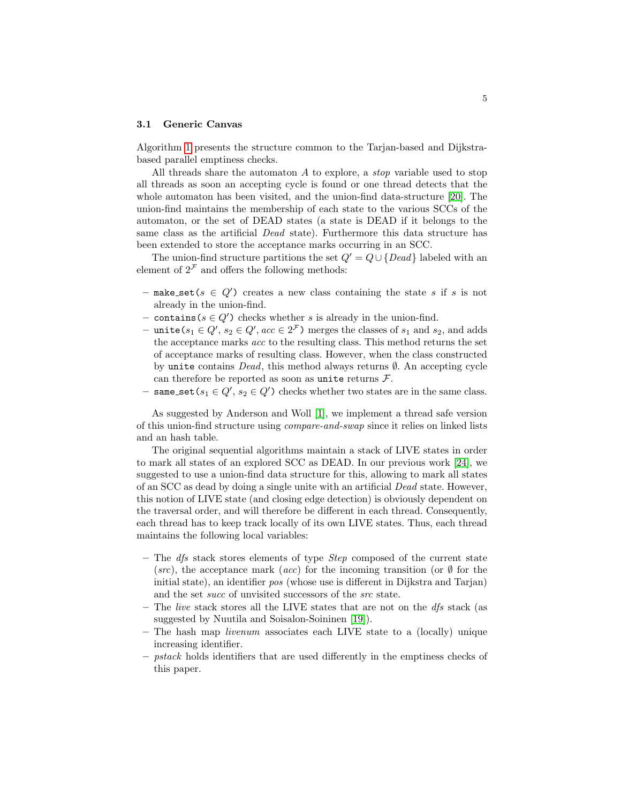#### 3.1 Generic Canvas

Algorithm [1](#page-3-0) presents the structure common to the Tarjan-based and Dijkstrabased parallel emptiness checks.

All threads share the automaton  $A$  to explore, a *stop* variable used to stop all threads as soon an accepting cycle is found or one thread detects that the whole automaton has been visited, and the union-find data-structure [\[20\]](#page-14-13). The union-find maintains the membership of each state to the various SCCs of the automaton, or the set of DEAD states (a state is DEAD if it belongs to the same class as the artificial Dead state). Furthermore this data structure has been extended to store the acceptance marks occurring in an SCC.

The union-find structure partitions the set  $Q' = Q \cup \{Dead\}$  labeled with an element of  $2^{\mathcal{F}}$  and offers the following methods:

- make\_set( $s \in Q'$ ) creates a new class containing the state s if s is not already in the union-find.
- contains ( $s \in Q'$ ) checks whether s is already in the union-find.
- − unite( $s_1 \in Q'$ ,  $s_2 \in Q'$ ,  $acc \in 2^{\mathcal{F}}$ ) merges the classes of  $s_1$  and  $s_2$ , and adds the acceptance marks acc to the resulting class. This method returns the set of acceptance marks of resulting class. However, when the class constructed by unite contains Dead, this method always returns  $\emptyset$ . An accepting cycle can therefore be reported as soon as unite returns  $\mathcal{F}$ .
- − same\_set( $s_1 \in Q'$ ,  $s_2 \in Q'$ ) checks whether two states are in the same class.

As suggested by Anderson and Woll [\[1\]](#page-13-5), we implement a thread safe version of this union-find structure using compare-and-swap since it relies on linked lists and an hash table.

The original sequential algorithms maintain a stack of LIVE states in order to mark all states of an explored SCC as DEAD. In our previous work [\[24\]](#page-14-2), we suggested to use a union-find data structure for this, allowing to mark all states of an SCC as dead by doing a single unite with an artificial Dead state. However, this notion of LIVE state (and closing edge detection) is obviously dependent on the traversal order, and will therefore be different in each thread. Consequently, each thread has to keep track locally of its own LIVE states. Thus, each thread maintains the following local variables:

- The  $\,$  dfs stack stores elements of type  $Step$  composed of the current state (src), the acceptance mark (acc) for the incoming transition (or  $\emptyset$  for the initial state), an identifier pos (whose use is different in Dijkstra and Tarjan) and the set succ of unvisited successors of the src state.
- The *live* stack stores all the LIVE states that are not on the  $\frac{df_s}{dt}$  stack (as suggested by Nuutila and Soisalon-Soininen [\[19\]](#page-14-14)).
- $-$  The hash map *livenum* associates each LIVE state to a (locally) unique increasing identifier.
- pstack holds identifiers that are used differently in the emptiness checks of this paper.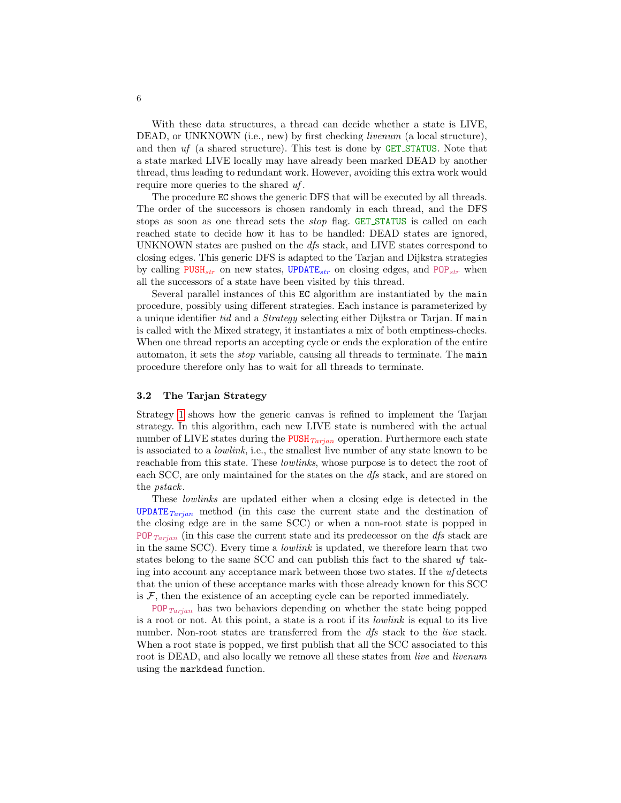With these data structures, a thread can decide whether a state is LIVE, DEAD, or UNKNOWN (i.e., new) by first checking *livenum* (a local structure), and then  $uf$  (a shared structure). This test is done by GET STATUS. Note that a state marked LIVE locally may have already been marked DEAD by another thread, thus leading to redundant work. However, avoiding this extra work would require more queries to the shared uf .

The procedure EC shows the generic DFS that will be executed by all threads. The order of the successors is chosen randomly in each thread, and the DFS stops as soon as one thread sets the *stop* flag. GET\_STATUS is called on each reached state to decide how it has to be handled: DEAD states are ignored, UNKNOWN states are pushed on the dfs stack, and LIVE states correspond to closing edges. This generic DFS is adapted to the Tarjan and Dijkstra strategies by calling PUSH<sub>str</sub> on new states, UPDATE<sub>str</sub> on closing edges, and POP<sub>str</sub> when all the successors of a state have been visited by this thread.

Several parallel instances of this EC algorithm are instantiated by the main procedure, possibly using different strategies. Each instance is parameterized by a unique identifier tid and a Strategy selecting either Dijkstra or Tarjan. If main is called with the Mixed strategy, it instantiates a mix of both emptiness-checks. When one thread reports an accepting cycle or ends the exploration of the entire automaton, it sets the stop variable, causing all threads to terminate. The main procedure therefore only has to wait for all threads to terminate.

#### 3.2 The Tarjan Strategy

Strategy [1](#page-3-0) shows how the generic canvas is refined to implement the Tarjan strategy. In this algorithm, each new LIVE state is numbered with the actual number of LIVE states during the  $\text{PUSH}_{Tarian}$  operation. Furthermore each state is associated to a lowlink, i.e., the smallest live number of any state known to be reachable from this state. These *lowlinks*, whose purpose is to detect the root of each SCC, are only maintained for the states on the *dfs* stack, and are stored on the pstack.

These lowlinks are updated either when a closing edge is detected in the UPDATE $_{Targian}$  method (in this case the current state and the destination of the closing edge are in the same SCC) or when a non-root state is popped in POP  $_{Tarjan}$  (in this case the current state and its predecessor on the  $dfs$  stack are in the same SCC). Every time a lowlink is updated, we therefore learn that two states belong to the same SCC and can publish this fact to the shared uf taking into account any acceptance mark between those two states. If the uf detects that the union of these acceptance marks with those already known for this SCC is  $F$ , then the existence of an accepting cycle can be reported immediately.

POP  $_{Tarian}$  has two behaviors depending on whether the state being popped is a root or not. At this point, a state is a root if its lowlink is equal to its live number. Non-root states are transferred from the *dfs* stack to the *live* stack. When a root state is popped, we first publish that all the SCC associated to this root is DEAD, and also locally we remove all these states from live and livenum using the markdead function.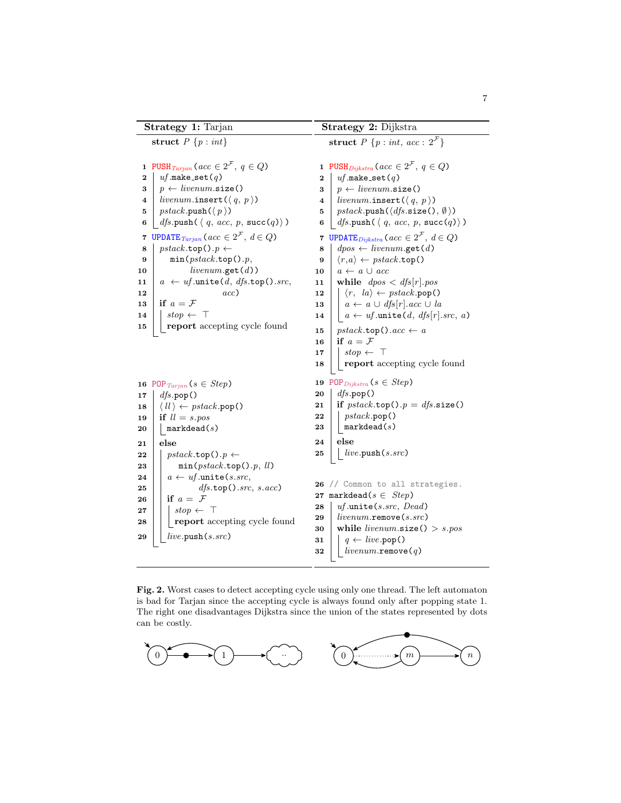<span id="page-6-2"></span><span id="page-6-1"></span>

| Strategy 1: Tarjan                                                                                                                                                                                                                                                                                                                                                                                                                                                                                                                                                                                                                                                                                          | Strategy 2: Dijkstra                                                                                                                                                                                                                                                                                                                                                                                                                                                                                                                                                                                                                                                                                                                                                                                                                                                                                                                                                          |  |  |
|-------------------------------------------------------------------------------------------------------------------------------------------------------------------------------------------------------------------------------------------------------------------------------------------------------------------------------------------------------------------------------------------------------------------------------------------------------------------------------------------------------------------------------------------------------------------------------------------------------------------------------------------------------------------------------------------------------------|-------------------------------------------------------------------------------------------------------------------------------------------------------------------------------------------------------------------------------------------------------------------------------------------------------------------------------------------------------------------------------------------------------------------------------------------------------------------------------------------------------------------------------------------------------------------------------------------------------------------------------------------------------------------------------------------------------------------------------------------------------------------------------------------------------------------------------------------------------------------------------------------------------------------------------------------------------------------------------|--|--|
| struct $P \{p : int\}$                                                                                                                                                                                                                                                                                                                                                                                                                                                                                                                                                                                                                                                                                      | struct $P\{p : int, acc : 2^{\mathcal{F}}\}\$                                                                                                                                                                                                                                                                                                                                                                                                                                                                                                                                                                                                                                                                                                                                                                                                                                                                                                                                 |  |  |
| 1 PUSH $_{Tarjan}$ ( $acc \in 2^{\mathcal{F}}$ , $q \in Q$ )<br>$uf$ .make_set $(q)$<br>$\overline{2}$<br>$p \leftarrow \text{livenum.size}()$<br>3<br>livenum.insert $(\langle q, p \rangle)$<br>$\overline{\mathbf{4}}$<br>$pstack.\text{push}(\langle p \rangle)$<br>5<br>$dfs.\text{push}(\langle q, acc, p, succ(q) \rangle)$<br>6<br><b>UPDATE</b> $_{Tarjan}$ ( $acc \in 2^{\mathcal{F}}$ , $d \in Q$ )<br>7<br>$pstack.\texttt{top}() . p \leftarrow$<br>8<br>min(pstack.top(), p)<br>9<br>livenum.get(d))<br>10<br>$a \leftarrow uf.\text{unite}(d, dfs.\text{top().src},$<br>11<br>acc)<br>12<br>if $a = \mathcal{F}$<br>13<br>$stop \leftarrow \top$<br>14<br>report accepting cycle found<br>15 | 1 PUSH <sub>Dijkstra</sub> ( $acc \in 2^{\mathcal{F}}, q \in Q$ )<br>$uf$ .make_set $(q)$<br>$\overline{2}$<br>$p \leftarrow \text{livenum.size}()$<br>3<br>livenum.insert $(\langle q, p \rangle)$<br>$\overline{\mathbf{4}}$<br>$pstack.\text{push}(\langle\mathit{dfs}.\texttt{size}(),\emptyset\rangle)$<br>5<br>$dfs.push(\langle q, acc, p, succ(q) \rangle)$<br>6<br>7 UPDATE <sub>Dijkstra</sub> (acc $\in 2^{\mathcal{F}}$ , $d \in Q$ )<br>$dpos \leftarrow \textit{livenum.get}(d)$<br>8<br>$\langle r,a \rangle \leftarrow \text{pstack.top()}$<br>9<br>$a \leftarrow a \cup acc$<br>10<br>while $dpos < dfs[r].pos$<br>11<br>$\langle r, \, la \rangle \leftarrow \text{pstack.pop()}$<br>12<br>$a \leftarrow a \cup dfs[r].acc \cup la$<br>13<br>$a \leftarrow uf.\text{unite}(d, dfs[r].src, a)$<br>14<br>$pstack.\texttt{top}() . acc \leftarrow a$<br>15<br>if $a = \mathcal{F}$<br>16<br>$stop \leftarrow \top$<br>17<br>report accepting cycle found<br>18 |  |  |
| 16 POP $_{Tarjan}(s \in Step)$<br>dfs.pop()<br>17<br>$\langle ll \rangle \leftarrow \text{pstack.pop()}$<br>18<br>if $ll = s. pos$<br>19<br>markdead(s)<br>20<br>else<br>21<br>$pstack.\texttt{top()}.p \leftarrow$<br>22<br>min(pstack.top(), p, ll)<br>23<br>$a \leftarrow uf.\text{unite}(s.src,$<br>24<br>dfs.top().src, s.acc)<br>25<br>if $a = \mathcal{F}$<br>26<br>$stop \leftarrow \top$<br>27<br>report accepting cycle found<br>28<br>live.push(s.src)<br>29                                                                                                                                                                                                                                     | 19 POP $Dijkstra$ ( $s \in Step$ )<br>dfs.pop()<br>20<br>if $pstack.\text{top}() . p = dfs.\text{size}()$<br>21<br>pstack.pop()<br>22<br>markdead(s)<br>23<br>else<br>24<br>live.push(s.src)<br>25<br>26 // Common to all strategies.<br>27 markdead( $s \in$ Step)<br>$uf.\text{unite}(s.src, Dead)$<br>28<br>$livenum$ .remove $(s.src)$<br>29<br>while $\textit{livenum.size}( ) > s. \textit{pos}$<br>30<br>$q \leftarrow live.pop()$<br>31<br>$\mathit{livenum}$ .remove $(q)$<br>32                                                                                                                                                                                                                                                                                                                                                                                                                                                                                     |  |  |

# <span id="page-6-3"></span><span id="page-6-0"></span>Fig. 2. Worst cases to detect accepting cycle using only one thread. The left automaton is bad for Tarjan since the accepting cycle is always found only after popping state 1. The right one disadvantages Dijkstra since the union of the states represented by dots can be costly.

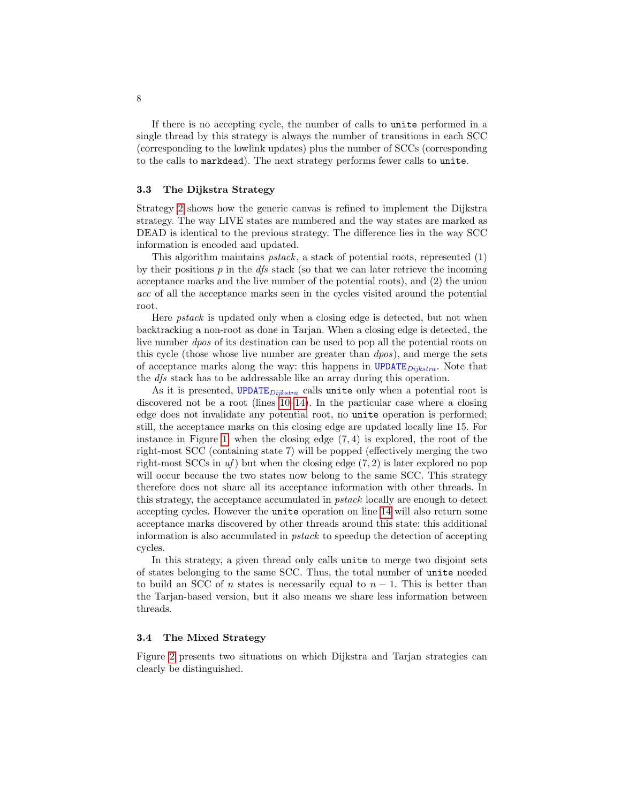If there is no accepting cycle, the number of calls to unite performed in a single thread by this strategy is always the number of transitions in each SCC (corresponding to the lowlink updates) plus the number of SCCs (corresponding to the calls to markdead). The next strategy performs fewer calls to unite.

## 3.3 The Dijkstra Strategy

Strategy [2](#page-6-0) shows how the generic canvas is refined to implement the Dijkstra strategy. The way LIVE states are numbered and the way states are marked as DEAD is identical to the previous strategy. The difference lies in the way SCC information is encoded and updated.

This algorithm maintains pstack, a stack of potential roots, represented (1) by their positions  $p$  in the *dfs* stack (so that we can later retrieve the incoming acceptance marks and the live number of the potential roots), and (2) the union acc of all the acceptance marks seen in the cycles visited around the potential root.

Here pstack is updated only when a closing edge is detected, but not when backtracking a non-root as done in Tarjan. When a closing edge is detected, the live number dpos of its destination can be used to pop all the potential roots on this cycle (those whose live number are greater than dpos), and merge the sets of acceptance marks along the way: this happens in  $\text{UPDATE}_{Dijkstra}$ . Note that the dfs stack has to be addressable like an array during this operation.

As it is presented, UPDATE $_{Dijkstra}$  calls unite only when a potential root is discovered not be a root (lines  $10-14$ ). In the particular case where a closing edge does not invalidate any potential root, no unite operation is performed; still, the acceptance marks on this closing edge are updated locally line 15. For instance in Figure [1,](#page-2-1) when the closing edge  $(7, 4)$  is explored, the root of the right-most SCC (containing state 7) will be popped (effectively merging the two right-most SCCs in  $uf$ ) but when the closing edge  $(7, 2)$  is later explored no pop will occur because the two states now belong to the same SCC. This strategy therefore does not share all its acceptance information with other threads. In this strategy, the acceptance accumulated in pstack locally are enough to detect accepting cycles. However the unite operation on line [14](#page-6-2) will also return some acceptance marks discovered by other threads around this state: this additional information is also accumulated in pstack to speedup the detection of accepting cycles.

In this strategy, a given thread only calls unite to merge two disjoint sets of states belonging to the same SCC. Thus, the total number of unite needed to build an SCC of *n* states is necessarily equal to  $n - 1$ . This is better than the Tarjan-based version, but it also means we share less information between threads.

#### 3.4 The Mixed Strategy

Figure [2](#page-6-3) presents two situations on which Dijkstra and Tarjan strategies can clearly be distinguished.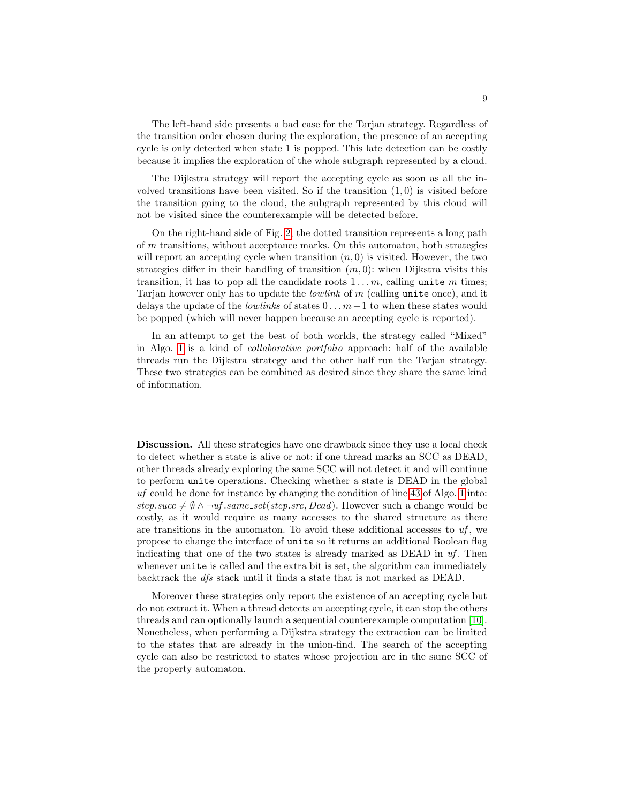The left-hand side presents a bad case for the Tarjan strategy. Regardless of the transition order chosen during the exploration, the presence of an accepting cycle is only detected when state 1 is popped. This late detection can be costly because it implies the exploration of the whole subgraph represented by a cloud.

The Dijkstra strategy will report the accepting cycle as soon as all the involved transitions have been visited. So if the transition  $(1,0)$  is visited before the transition going to the cloud, the subgraph represented by this cloud will not be visited since the counterexample will be detected before.

On the right-hand side of Fig. [2,](#page-6-3) the dotted transition represents a long path of m transitions, without acceptance marks. On this automaton, both strategies will report an accepting cycle when transition  $(n, 0)$  is visited. However, the two strategies differ in their handling of transition  $(m, 0)$ : when Dijkstra visits this transition, it has to pop all the candidate roots  $1 \ldots m$ , calling unite m times; Tarjan however only has to update the *lowlink* of  $m$  (calling unite once), and it delays the update of the *lowlinks* of states  $0 \dots m-1$  to when these states would be popped (which will never happen because an accepting cycle is reported).

In an attempt to get the best of both worlds, the strategy called "Mixed" in Algo. [1](#page-3-0) is a kind of collaborative portfolio approach: half of the available threads run the Dijkstra strategy and the other half run the Tarjan strategy. These two strategies can be combined as desired since they share the same kind of information.

Discussion. All these strategies have one drawback since they use a local check to detect whether a state is alive or not: if one thread marks an SCC as DEAD, other threads already exploring the same SCC will not detect it and will continue to perform unite operations. Checking whether a state is DEAD in the global  $uf$  could be done for instance by changing the condition of line [43](#page-3-1) of Algo. [1](#page-3-0) into: step.succ  $\neq \emptyset \land \neg \text{uf}$ .same\_set(step.src, Dead). However such a change would be costly, as it would require as many accesses to the shared structure as there are transitions in the automaton. To avoid these additional accesses to  $uf$ , we propose to change the interface of unite so it returns an additional Boolean flag indicating that one of the two states is already marked as DEAD in  $uf$ . Then whenever unite is called and the extra bit is set, the algorithm can immediately backtrack the dfs stack until it finds a state that is not marked as DEAD.

Moreover these strategies only report the existence of an accepting cycle but do not extract it. When a thread detects an accepting cycle, it can stop the others threads and can optionally launch a sequential counterexample computation [\[10\]](#page-14-1). Nonetheless, when performing a Dijkstra strategy the extraction can be limited to the states that are already in the union-find. The search of the accepting cycle can also be restricted to states whose projection are in the same SCC of the property automaton.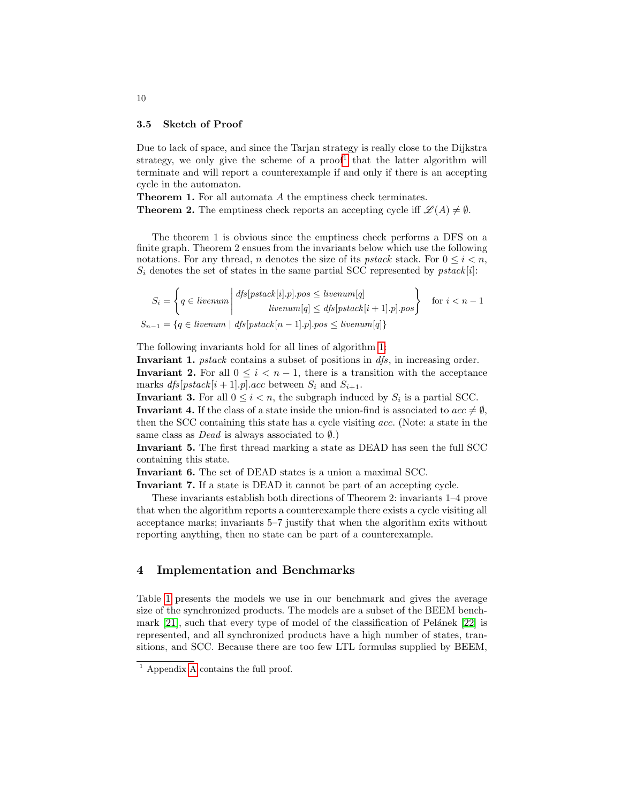#### 3.5 Sketch of Proof

Due to lack of space, and since the Tarjan strategy is really close to the Dijkstra strategy, we only give the scheme of a proof<sup>[1](#page-9-1)</sup> that the latter algorithm will terminate and will report a counterexample if and only if there is an accepting cycle in the automaton.

Theorem 1. For all automata A the emptiness check terminates.

**Theorem 2.** The emptiness check reports an accepting cycle iff  $\mathscr{L}(A) \neq \emptyset$ .

The theorem 1 is obvious since the emptiness check performs a DFS on a finite graph. Theorem 2 ensues from the invariants below which use the following notations. For any thread, n denotes the size of its pstack stack. For  $0 \leq i \leq n$ ,  $S_i$  denotes the set of states in the same partial SCC represented by  $pstack[i]$ :

$$
S_i = \left\{ q \in \text{livenum} \middle| \begin{array}{l} \text{dfs}[\text{pstack}[i].p].\text{pos} \le \text{livenum}[q] \\ \text{livenum}[q] \le \text{dfs}[\text{pstack}[i+1].p].\text{pos} \end{array} \right\} \quad \text{for } i < n-1
$$
\n
$$
S_{n-1} = \left\{ q \in \text{livenum} \middle| \text{dfs}[\text{pstack}[n-1].p].\text{pos} \le \text{livenum}[q] \right\}
$$

The following invariants hold for all lines of algorithm [1:](#page-3-0)

Invariant 1. *pstack* contains a subset of positions in *dfs*, in increasing order.

Invariant 2. For all  $0 \leq i \leq n-1$ , there is a transition with the acceptance marks  $dfs[pstack[i+1].p].acc$  between  $S_i$  and  $S_{i+1}$ .

**Invariant 3.** For all  $0 \leq i < n$ , the subgraph induced by  $S_i$  is a partial SCC. **Invariant 4.** If the class of a state inside the union-find is associated to  $acc \neq \emptyset$ , then the SCC containing this state has a cycle visiting acc. (Note: a state in the same class as *Dead* is always associated to  $\emptyset$ .)

Invariant 5. The first thread marking a state as DEAD has seen the full SCC containing this state.

Invariant 6. The set of DEAD states is a union a maximal SCC.

Invariant 7. If a state is DEAD it cannot be part of an accepting cycle.

These invariants establish both directions of Theorem 2: invariants 1–4 prove that when the algorithm reports a counterexample there exists a cycle visiting all acceptance marks; invariants 5–7 justify that when the algorithm exits without reporting anything, then no state can be part of a counterexample.

# <span id="page-9-0"></span>4 Implementation and Benchmarks

Table [1](#page-10-0) presents the models we use in our benchmark and gives the average size of the synchronized products. The models are a subset of the BEEM benchmark  $[21]$ , such that every type of model of the classification of Pelánek  $[22]$  is represented, and all synchronized products have a high number of states, transitions, and SCC. Because there are too few LTL formulas supplied by BEEM,

#### 10

<span id="page-9-1"></span><sup>1</sup> Appendix [A](#page-15-0) contains the full proof.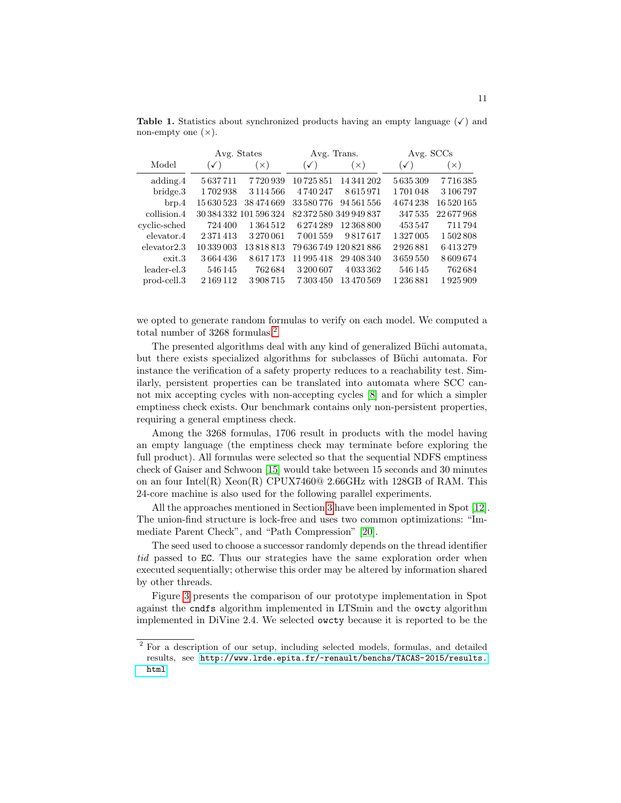<span id="page-10-0"></span>**Table 1.** Statistics about synchronized products having an empty language  $(\checkmark)$  and non-empty one  $(\times)$ .

|                   | Avg. States    |                        | Avg. Trans.    |                        | Avg. SCCs      |            |
|-------------------|----------------|------------------------|----------------|------------------------|----------------|------------|
| Model             | $(\checkmark)$ | $(\times)$             | $(\checkmark)$ | $(\times)$             | $(\checkmark)$ | $(\times)$ |
| adding.4          | 5637711        | 7720939                | 10725851       | 14 341 202             | 5635309        | 7716385    |
| bridge.3          | 1702938        | 3 1 1 4 5 6 6          | 4740247        | 8615971                | 1701048        | 3106797    |
| $_{\text{brp.4}}$ | 15 630 523     | 38474669               | 33 580 776     | 94 561 556             | 4674238        | 16520165   |
| collision.4       |                | 30 384 332 101 596 324 |                | 82 372 580 349 949 837 | 347535         | 22677968   |
| cyclic-sched      | 724 400        | 1364512                | 6274289        | 12 368 800             | 453547         | 711794     |
| elevator.4        | 2371413        | 3270061                | 7 001 559      | 9817617                | 1327005        | 1502808    |
| $e$ levator $2.3$ | 10 339 003     | 13818813               |                | 79 636 749 120 821 886 | 2926881        | 6413279    |
| ext.3             | 3664436        | 8617173                | 11995418       | 29 408 340             | 3659550        | 8609674    |
| leader-el.3       | 546145         | 762684                 | 3200607        | 4 0 3 3 3 6 2          | 546145         | 762684     |
| $prod-cell.3$     | 2169112        | 3908715                | 7303450        | 13470569               | 1236881        | 1925909    |
|                   |                |                        |                |                        |                |            |

we opted to generate random formulas to verify on each model. We computed a total number of 3268 formulas.[2](#page-10-1)

The presented algorithms deal with any kind of generalized Büchi automata, but there exists specialized algorithms for subclasses of Büchi automata. For instance the verification of a safety property reduces to a reachability test. Similarly, persistent properties can be translated into automata where SCC cannot mix accepting cycles with non-accepting cycles [\[8\]](#page-14-17) and for which a simpler emptiness check exists. Our benchmark contains only non-persistent properties, requiring a general emptiness check.

Among the 3268 formulas, 1706 result in products with the model having an empty language (the emptiness check may terminate before exploring the full product). All formulas were selected so that the sequential NDFS emptiness check of Gaiser and Schwoon [\[15\]](#page-14-18) would take between 15 seconds and 30 minutes on an four Intel(R)  $Xeon(R)$  CPUX7460 $@$  2.66GHz with 128GB of RAM. This 24-core machine is also used for the following parallel experiments.

All the approaches mentioned in Section [3](#page-2-0) have been implemented in Spot [\[12\]](#page-14-19). The union-find structure is lock-free and uses two common optimizations: "Immediate Parent Check", and "Path Compression" [\[20\]](#page-14-13).

The seed used to choose a successor randomly depends on the thread identifier tid passed to EC. Thus our strategies have the same exploration order when executed sequentially; otherwise this order may be altered by information shared by other threads.

Figure [3](#page-12-0) presents the comparison of our prototype implementation in Spot against the cndfs algorithm implemented in LTSmin and the owcty algorithm implemented in DiVine 2.4. We selected owcty because it is reported to be the

<span id="page-10-1"></span><sup>2</sup> For a description of our setup, including selected models, formulas, and detailed results, see [http://www.lrde.epita.fr/~renault/benchs/TACAS-2015/results.](http://www.lrde.epita.fr/~renault/benchs/TACAS-2015/results.html) [html](http://www.lrde.epita.fr/~renault/benchs/TACAS-2015/results.html).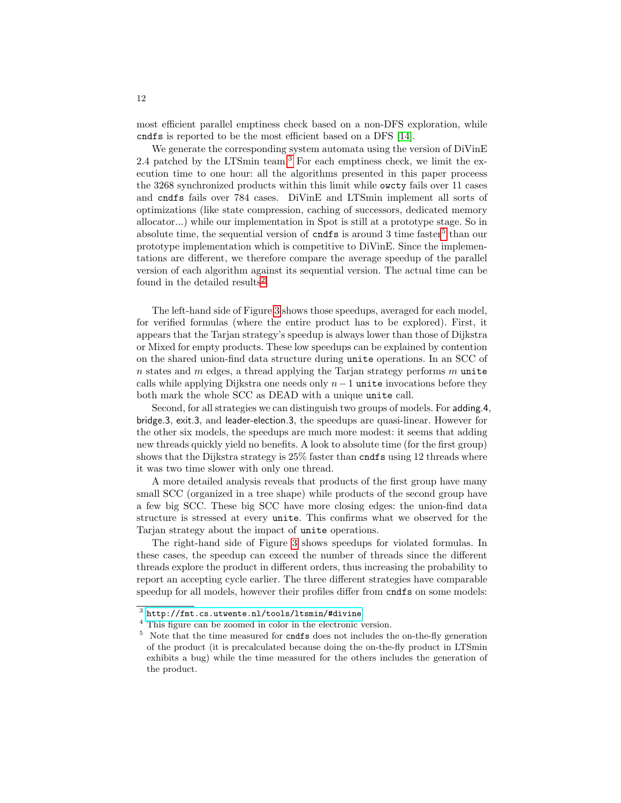most efficient parallel emptiness check based on a non-DFS exploration, while cndfs is reported to be the most efficient based on a DFS [\[14\]](#page-14-10).

We generate the corresponding system automata using the version of DiVinE 2.4 patched by the LTSmin team.[3](#page-11-0) For each emptiness check, we limit the execution time to one hour: all the algorithms presented in this paper proceess the 3268 synchronized products within this limit while owcty fails over 11 cases and cndfs fails over 784 cases. DiVinE and LTSmin implement all sorts of optimizations (like state compression, caching of successors, dedicated memory allocator...) while our implementation in Spot is still at a prototype stage. So in absolute time, the sequential version of cndfs is around 3 time faster<sup>[5](#page-11-1)</sup> than our prototype implementation which is competitive to DiVinE. Since the implementations are different, we therefore compare the average speedup of the parallel version of each algorithm against its sequential version. The actual time can be found in the detailed results<sup>[2](#page-0-0)</sup>.

The left-hand side of Figure [3](#page-12-0) shows those speedups, averaged for each model, for verified formulas (where the entire product has to be explored). First, it appears that the Tarjan strategy's speedup is always lower than those of Dijkstra or Mixed for empty products. These low speedups can be explained by contention on the shared union-find data structure during unite operations. In an SCC of n states and m edges, a thread applying the Tarjan strategy performs m unite calls while applying Dijkstra one needs only  $n-1$  unite invocations before they both mark the whole SCC as DEAD with a unique unite call.

Second, for all strategies we can distinguish two groups of models. For adding.4, bridge.3, exit.3, and leader-election.3, the speedups are quasi-linear. However for the other six models, the speedups are much more modest: it seems that adding new threads quickly yield no benefits. A look to absolute time (for the first group) shows that the Dijkstra strategy is 25% faster than cndfs using 12 threads where it was two time slower with only one thread.

A more detailed analysis reveals that products of the first group have many small SCC (organized in a tree shape) while products of the second group have a few big SCC. These big SCC have more closing edges: the union-find data structure is stressed at every unite. This confirms what we observed for the Tarjan strategy about the impact of unite operations.

The right-hand side of Figure [3](#page-12-0) shows speedups for violated formulas. In these cases, the speedup can exceed the number of threads since the different threads explore the product in different orders, thus increasing the probability to report an accepting cycle earlier. The three different strategies have comparable speedup for all models, however their profiles differ from cndfs on some models:

<span id="page-11-0"></span> $^3$  <http://fmt.cs.utwente.nl/tools/ltsmin/#divine>

<span id="page-11-2"></span><sup>4</sup> This figure can be zoomed in color in the electronic version.

<span id="page-11-1"></span> $^5\;$  Note that the time measured for  $\mathsf{cndfs}$  does not includes the on-the-fly generation of the product (it is precalculated because doing the on-the-fly product in LTSmin exhibits a bug) while the time measured for the others includes the generation of the product.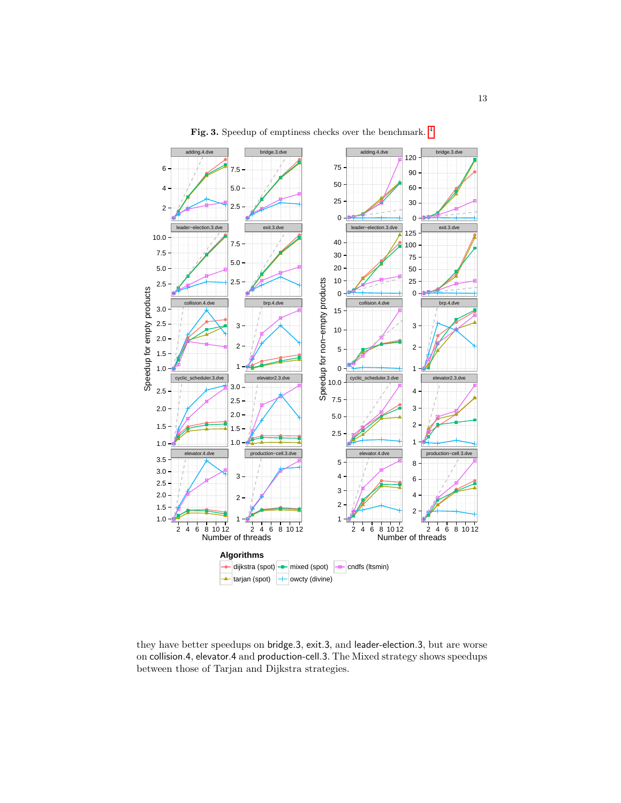

<span id="page-12-0"></span>Fig. 3. Speedup of emptiness checks over the benchmark. [4](#page-11-2)

they have better speedups on bridge.3, exit.3, and leader-election.3, but are worse on collision.4, elevator.4 and production-cell.3. The Mixed strategy shows speedups between those of Tarjan and Dijkstra strategies.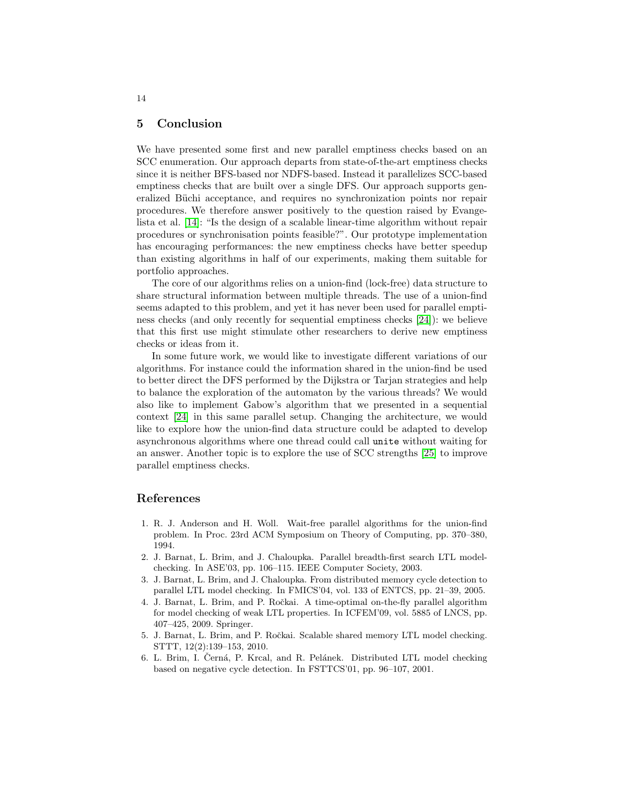## 5 Conclusion

We have presented some first and new parallel emptiness checks based on an SCC enumeration. Our approach departs from state-of-the-art emptiness checks since it is neither BFS-based nor NDFS-based. Instead it parallelizes SCC-based emptiness checks that are built over a single DFS. Our approach supports generalized Büchi acceptance, and requires no synchronization points nor repair procedures. We therefore answer positively to the question raised by Evangelista et al. [\[14\]](#page-14-10): "Is the design of a scalable linear-time algorithm without repair procedures or synchronisation points feasible?". Our prototype implementation has encouraging performances: the new emptiness checks have better speedup than existing algorithms in half of our experiments, making them suitable for portfolio approaches.

The core of our algorithms relies on a union-find (lock-free) data structure to share structural information between multiple threads. The use of a union-find seems adapted to this problem, and yet it has never been used for parallel emptiness checks (and only recently for sequential emptiness checks [\[24\]](#page-14-2)): we believe that this first use might stimulate other researchers to derive new emptiness checks or ideas from it.

In some future work, we would like to investigate different variations of our algorithms. For instance could the information shared in the union-find be used to better direct the DFS performed by the Dijkstra or Tarjan strategies and help to balance the exploration of the automaton by the various threads? We would also like to implement Gabow's algorithm that we presented in a sequential context [\[24\]](#page-14-2) in this same parallel setup. Changing the architecture, we would like to explore how the union-find data structure could be adapted to develop asynchronous algorithms where one thread could call unite without waiting for an answer. Another topic is to explore the use of SCC strengths [\[25\]](#page-14-20) to improve parallel emptiness checks.

# References

- <span id="page-13-5"></span>1. R. J. Anderson and H. Woll. Wait-free parallel algorithms for the union-find problem. In Proc. 23rd ACM Symposium on Theory of Computing, pp. 370–380, 1994.
- <span id="page-13-1"></span>2. J. Barnat, L. Brim, and J. Chaloupka. Parallel breadth-first search LTL modelchecking. In ASE'03, pp. 106–115. IEEE Computer Society, 2003.
- <span id="page-13-2"></span>3. J. Barnat, L. Brim, and J. Chaloupka. From distributed memory cycle detection to parallel LTL model checking. In FMICS'04, vol. 133 of ENTCS, pp. 21–39, 2005.
- <span id="page-13-3"></span>4. J. Barnat, L. Brim, and P. Roˇckai. A time-optimal on-the-fly parallel algorithm for model checking of weak LTL properties. In ICFEM'09, vol. 5885 of LNCS, pp. 407–425, 2009. Springer.
- <span id="page-13-4"></span>5. J. Barnat, L. Brim, and P. Ročkai. Scalable shared memory LTL model checking. STTT, 12(2):139–153, 2010.
- <span id="page-13-0"></span>6. L. Brim, I. Černá, P. Krcal, and R. Pelánek. Distributed LTL model checking based on negative cycle detection. In FSTTCS'01, pp. 96–107, 2001.

14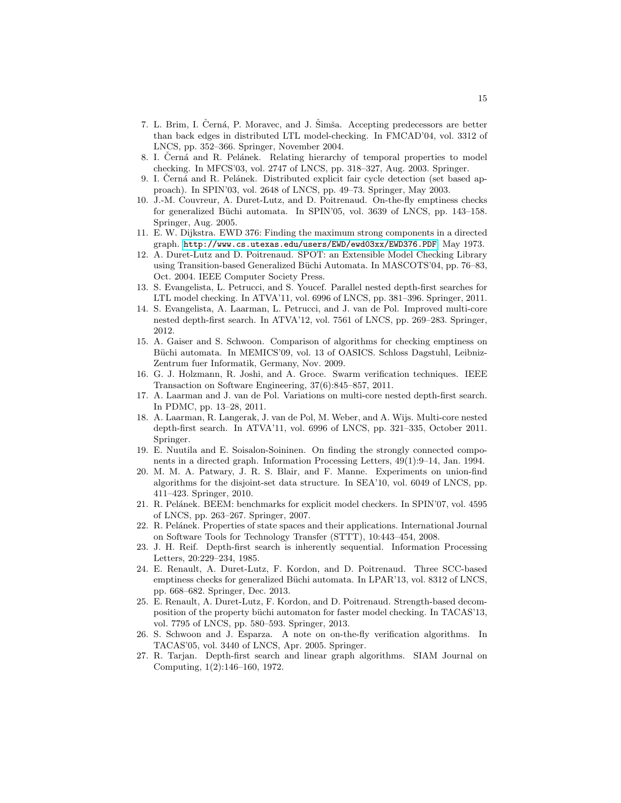- <span id="page-14-4"></span>7. L. Brim, I. Černá, P. Moravec, and J. Šimša. Accepting predecessors are better than back edges in distributed LTL model-checking. In FMCAD'04, vol. 3312 of LNCS, pp. 352–366. Springer, November 2004.
- <span id="page-14-17"></span>8. I. Cerná and R. Pelánek. Relating hierarchy of temporal properties to model checking. In MFCS'03, vol. 2747 of LNCS, pp. 318–327, Aug. 2003. Springer.
- <span id="page-14-3"></span>9. I. Cerná and R. Pelánek. Distributed explicit fair cycle detection (set based approach). In SPIN'03, vol. 2648 of LNCS, pp. 49–73. Springer, May 2003.
- <span id="page-14-1"></span>10. J.-M. Couvreur, A. Duret-Lutz, and D. Poitrenaud. On-the-fly emptiness checks for generalized Büchi automata. In SPIN'05, vol. 3639 of LNCS, pp. 143-158. Springer, Aug. 2005.
- <span id="page-14-12"></span>11. E. W. Dijkstra. EWD 376: Finding the maximum strong components in a directed graph. <http://www.cs.utexas.edu/users/EWD/ewd03xx/EWD376.PDF>, May 1973.
- <span id="page-14-19"></span>12. A. Duret-Lutz and D. Poitrenaud. SPOT: an Extensible Model Checking Library using Transition-based Generalized Büchi Automata. In MASCOTS'04, pp. 76–83, Oct. 2004. IEEE Computer Society Press.
- <span id="page-14-7"></span>13. S. Evangelista, L. Petrucci, and S. Youcef. Parallel nested depth-first searches for LTL model checking. In ATVA'11, vol. 6996 of LNCS, pp. 381–396. Springer, 2011.
- <span id="page-14-10"></span>14. S. Evangelista, A. Laarman, L. Petrucci, and J. van de Pol. Improved multi-core nested depth-first search. In ATVA'12, vol. 7561 of LNCS, pp. 269–283. Springer, 2012.
- <span id="page-14-18"></span>15. A. Gaiser and S. Schwoon. Comparison of algorithms for checking emptiness on Büchi automata. In MEMICS'09, vol. 13 of OASICS. Schloss Dagstuhl, Leibniz-Zentrum fuer Informatik, Germany, Nov. 2009.
- <span id="page-14-6"></span>16. G. J. Holzmann, R. Joshi, and A. Groce. Swarm verification techniques. IEEE Transaction on Software Engineering, 37(6):845–857, 2011.
- <span id="page-14-9"></span>17. A. Laarman and J. van de Pol. Variations on multi-core nested depth-first search. In PDMC, pp. 13–28, 2011.
- <span id="page-14-8"></span>18. A. Laarman, R. Langerak, J. van de Pol, M. Weber, and A. Wijs. Multi-core nested depth-first search. In ATVA'11, vol. 6996 of LNCS, pp. 321–335, October 2011. Springer.
- <span id="page-14-14"></span>19. E. Nuutila and E. Soisalon-Soininen. On finding the strongly connected components in a directed graph. Information Processing Letters, 49(1):9–14, Jan. 1994.
- <span id="page-14-13"></span>20. M. M. A. Patwary, J. R. S. Blair, and F. Manne. Experiments on union-find algorithms for the disjoint-set data structure. In SEA'10, vol. 6049 of LNCS, pp. 411–423. Springer, 2010.
- <span id="page-14-15"></span>21. R. Pelánek. BEEM: benchmarks for explicit model checkers. In SPIN'07, vol. 4595 of LNCS, pp. 263–267. Springer, 2007.
- <span id="page-14-16"></span>22. R. Pelánek. Properties of state spaces and their applications. International Journal on Software Tools for Technology Transfer (STTT), 10:443–454, 2008.
- <span id="page-14-5"></span>23. J. H. Reif. Depth-first search is inherently sequential. Information Processing Letters, 20:229–234, 1985.
- <span id="page-14-2"></span>24. E. Renault, A. Duret-Lutz, F. Kordon, and D. Poitrenaud. Three SCC-based emptiness checks for generalized Büchi automata. In LPAR'13, vol. 8312 of LNCS, pp. 668–682. Springer, Dec. 2013.
- <span id="page-14-20"></span>25. E. Renault, A. Duret-Lutz, F. Kordon, and D. Poitrenaud. Strength-based decomposition of the property büchi automaton for faster model checking. In TACAS'13, vol. 7795 of LNCS, pp. 580–593. Springer, 2013.
- <span id="page-14-0"></span>26. S. Schwoon and J. Esparza. A note on on-the-fly verification algorithms. In TACAS'05, vol. 3440 of LNCS, Apr. 2005. Springer.
- <span id="page-14-11"></span>27. R. Tarjan. Depth-first search and linear graph algorithms. SIAM Journal on Computing, 1(2):146–160, 1972.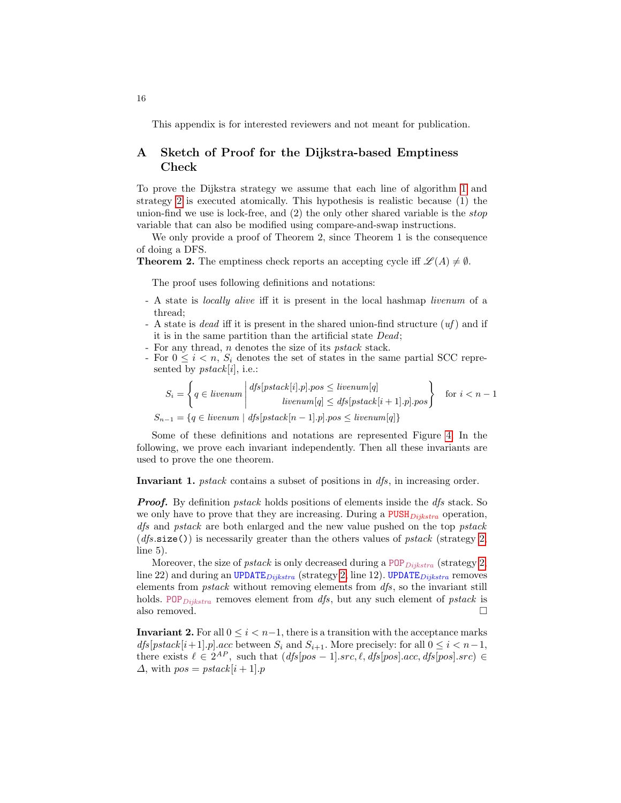This appendix is for interested reviewers and not meant for publication.

# <span id="page-15-0"></span>A Sketch of Proof for the Dijkstra-based Emptiness Check

To prove the Dijkstra strategy we assume that each line of algorithm [1](#page-3-0) and strategy [2](#page-6-0) is executed atomically. This hypothesis is realistic because (1) the union-find we use is lock-free, and  $(2)$  the only other shared variable is the *stop* variable that can also be modified using compare-and-swap instructions.

We only provide a proof of Theorem 2, since Theorem 1 is the consequence of doing a DFS.

**Theorem 2.** The emptiness check reports an accepting cycle iff  $\mathscr{L}(A) \neq \emptyset$ .

The proof uses following definitions and notations:

- A state is locally alive iff it is present in the local hashmap livenum of a thread;
- A state is *dead* iff it is present in the shared union-find structure  $(uf)$  and if it is in the same partition than the artificial state Dead;
- For any thread, n denotes the size of its pstack stack.
- For  $0 \leq i \leq n$ ,  $S_i$  denotes the set of states in the same partial SCC represented by  $pstack[i], i.e.:$

$$
S_i = \left\{ q \in \text{livenum} \middle| \text{dfs}[\text{pstack}[i].p].\text{pos} \le \text{livenum}[q] \right\} \quad \text{for } i < n-1
$$
\n
$$
S_{n-1} = \left\{ q \in \text{livenum} \middle| \text{dfs}[\text{pstack}[n-1].p].\text{pos} \le \text{livenum}[q] \right\} \quad \text{for } i < n-1
$$

Some of these definitions and notations are represented Figure [4.](#page-16-0) In the following, we prove each invariant independently. Then all these invariants are used to prove the one theorem.

Invariant 1. *pstack* contains a subset of positions in  $df_s$ , in increasing order.

**Proof.** By definition *pstack* holds positions of elements inside the *dfs* stack. So we only have to prove that they are increasing. During a  $\text{PUSH}_{Dijkstra}$  operation, dfs and pstack are both enlarged and the new value pushed on the top pstack  $(dfs.size()$  is necessarily greater than the others values of *pstack* (strategy [2,](#page-6-0) line 5).

Moreover, the size of *pstack* is only decreased during a  $POP_{Dijkstra}$  (strategy [2,](#page-6-0) line 22) and during an UPDATE  $_{D i i k s t r a}$  (strategy [2,](#page-6-0) line 12). UPDATE  $_{D i i k s t r a}$  removes elements from pstack without removing elements from dfs, so the invariant still holds. POP<sub>Dijkstra</sub> removes element from dfs, but any such element of pstack is also removed.

Invariant 2. For all  $0 \leq i < n-1$ , there is a transition with the acceptance marks  $dfs[pstack[i+1].p].acc$  between  $S_i$  and  $S_{i+1}$ . More precisely: for all  $0 \leq i < n-1$ , there exists  $\ell \in 2^{AP}$ , such that  $(dfs|pos - 1].src, \ell, dfs[pos].acc, dfs[pos].src)$  $\Delta$ , with  $pos = pstack[i+1].p$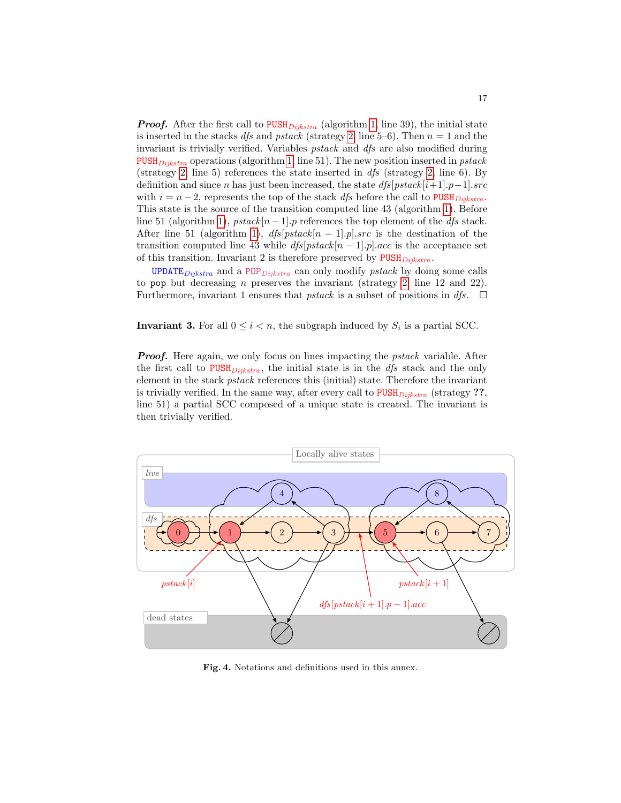**Proof.** After the first call to  $\text{PUSH}_{Dijkstra}$  (algorithm [1,](#page-3-0) line 39), the initial state is inserted in the stacks *dfs* and *pstack* (strategy [2,](#page-6-0) line 5–6). Then  $n = 1$  and the invariant is trivially verified. Variables *pstack* and *dfs* are also modified during  $PUSH_{Dijkstra}$  operations (algorithm [1,](#page-3-0) line 51). The new position inserted in *pstack* (strategy [2,](#page-6-0) line 5) references the state inserted in dfs (strategy [2,](#page-6-0) line 6). By definition and since n has just been increased, the state  $dfs[pstack[i+1].p-1].src$ with  $i = n-2$ , represents the top of the stack dfs before the call to PUSH<sub>Dijkstra</sub>. This state is the source of the transition computed line 43 (algorithm [1\)](#page-3-0). Before line 51 (algorithm [1\)](#page-3-0),  $pstack[n-1]$ .p references the top element of the *dfs* stack. After line 51 (algorithm [1\)](#page-3-0),  $dfs[pstack[n-1].p].src$  is the destination of the transition computed line 43 while  $dfs[pstack[n-1].p].acc$  is the acceptance set of this transition. Invariant 2 is therefore preserved by  $\text{PUSH}_{Dijkstra}$ .

**UPDATE**  $Dijkstra$  and a POP  $Dijkstra$  can only modify pstack by doing some calls to pop but decreasing  $n$  preserves the invariant (strategy [2,](#page-6-0) line 12 and 22). Furthermore, invariant 1 ensures that *pstack* is a subset of positions in *dfs*.  $\Box$ 

**Invariant 3.** For all  $0 \leq i < n$ , the subgraph induced by  $S_i$  is a partial SCC.

**Proof.** Here again, we only focus on lines impacting the *pstack* variable. After the first call to  $\text{PUSH}_{Dijkstra}$ , the initial state is in the *dfs* stack and the only element in the stack pstack references this (initial) state. Therefore the invariant is trivially verified. In the same way, after every call to  $\text{PUSH}_{Dijkstra}$  (strategy ??, line 51) a partial SCC composed of a unique state is created. The invariant is then trivially verified.



<span id="page-16-0"></span>Fig. 4. Notations and definitions used in this annex.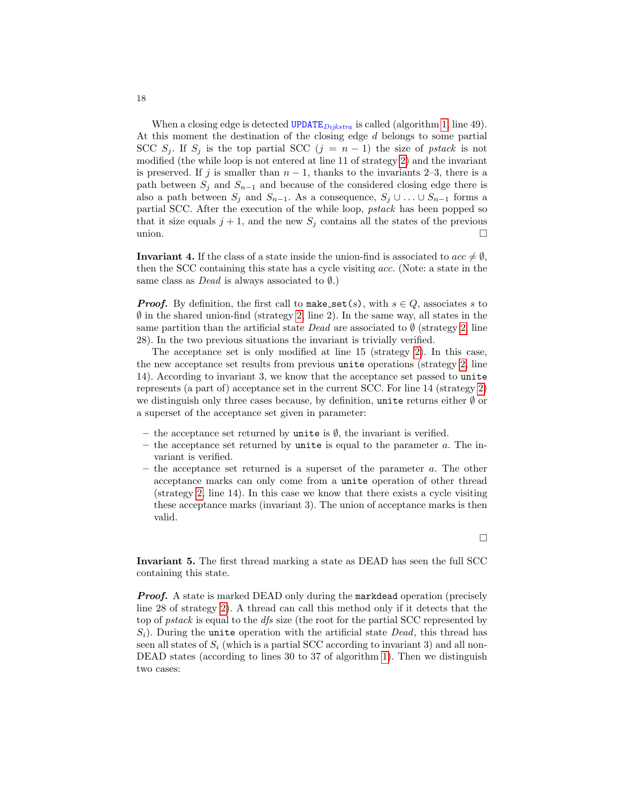When a closing edge is detected UPDATE  $Dijkstra$  is called (algorithm [1,](#page-3-0) line 49). At this moment the destination of the closing edge d belongs to some partial SCC  $S_i$ . If  $S_j$  is the top partial SCC  $(j = n - 1)$  the size of pstack is not modified (the while loop is not entered at line 11 of strategy [2\)](#page-6-0) and the invariant is preserved. If j is smaller than  $n-1$ , thanks to the invariants 2–3, there is a path between  $S_i$  and  $S_{n-1}$  and because of the considered closing edge there is also a path between  $S_i$  and  $S_{n-1}$ . As a consequence,  $S_i \cup \ldots \cup S_{n-1}$  forms a partial SCC. After the execution of the while loop, pstack has been popped so that it size equals  $j + 1$ , and the new  $S_j$  contains all the states of the previous union.  $\Box$ 

**Invariant 4.** If the class of a state inside the union-find is associated to  $acc \neq \emptyset$ , then the SCC containing this state has a cycle visiting acc. (Note: a state in the same class as  $Dead$  is always associated to  $\emptyset$ .)

**Proof.** By definition, the first call to make set(s), with  $s \in Q$ , associates s to  $\emptyset$  in the shared union-find (strategy [2,](#page-6-0) line 2). In the same way, all states in the same partition than the artificial state Dead are associated to  $\emptyset$  (strategy [2,](#page-6-0) line 28). In the two previous situations the invariant is trivially verified.

The acceptance set is only modified at line 15 (strategy [2\)](#page-6-0). In this case, the new acceptance set results from previous unite operations (strategy [2,](#page-6-0) line 14). According to invariant 3, we know that the acceptance set passed to unite represents (a part of) acceptance set in the current SCC. For line 14 (strategy [2\)](#page-6-0) we distinguish only three cases because, by definition, unite returns either ∅ or a superset of the acceptance set given in parameter:

- the acceptance set returned by unite is  $\emptyset$ , the invariant is verified.
- the acceptance set returned by unite is equal to the parameter  $a$ . The invariant is verified.
- $-$  the acceptance set returned is a superset of the parameter  $a$ . The other acceptance marks can only come from a unite operation of other thread (strategy [2,](#page-6-0) line 14). In this case we know that there exists a cycle visiting these acceptance marks (invariant 3). The union of acceptance marks is then valid.

Invariant 5. The first thread marking a state as DEAD has seen the full SCC containing this state.

**Proof.** A state is marked DEAD only during the markdead operation (precisely line 28 of strategy [2\)](#page-6-0). A thread can call this method only if it detects that the top of *pstack* is equal to the *dfs* size (the root for the partial SCC represented by  $S_i$ ). During the unite operation with the artificial state *Dead*, this thread has seen all states of  $S_i$  (which is a partial SCC according to invariant 3) and all non-DEAD states (according to lines 30 to 37 of algorithm [1\)](#page-3-0). Then we distinguish two cases:

18

 $\Box$